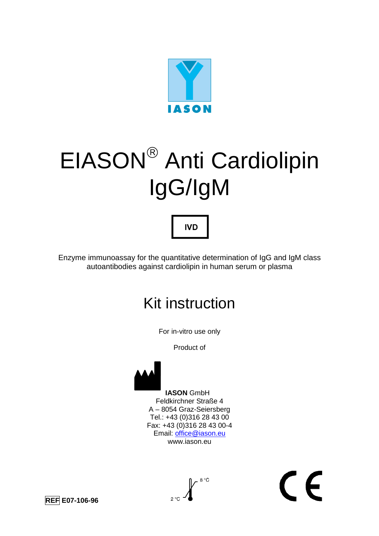

# EIASON Anti Cardiolipin IgG/IgM

# **IVD**

Enzyme immunoassay for the quantitative determination of IgG and IgM class autoantibodies against cardiolipin in human serum or plasma

# Kit instruction

For in-vitro use only

Product of



 **IASON** GmbH Feldkirchner Straße 4 A – 8054 Graz-Seiersberg Tel.: +43 (0)316 28 43 00 Fax: +43 (0)316 28 43 00-4 Email: office@iason.eu www.iason.eu



 $\epsilon$ 

**REF E07-106-96**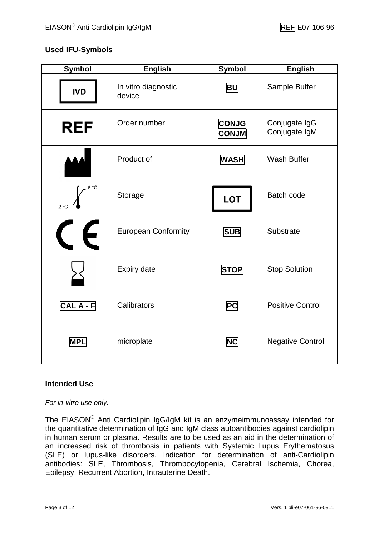#### **Used IFU-Symbols**

| <b>Symbol</b>             | <b>English</b>                | <b>Symbol</b>                | <b>English</b>                 |
|---------------------------|-------------------------------|------------------------------|--------------------------------|
| <b>IVD</b>                | In vitro diagnostic<br>device | <b>BU</b>                    | Sample Buffer                  |
| <b>REF</b>                | Order number                  | <b>CONJG</b><br><b>CONJM</b> | Conjugate IgG<br>Conjugate IgM |
|                           | Product of                    | <b>WASH</b>                  | <b>Wash Buffer</b>             |
| 8 °C<br>$2^{\circ}C$      | Storage                       | <b>LOT</b>                   | <b>Batch code</b>              |
| $\boldsymbol{\mathsf{C}}$ | <b>European Conformity</b>    | <b>SUB</b>                   | Substrate                      |
|                           | Expiry date                   | <b>STOP</b>                  | <b>Stop Solution</b>           |
| CAL A - F                 | Calibrators                   | <b>PC</b>                    | <b>Positive Control</b>        |
| <b>MPL</b>                | microplate                    | <b>NC</b>                    | <b>Negative Control</b>        |

#### **Intended Use**

For in-vitro use only.

The EIASON® Anti Cardiolipin IgG/IgM kit is an enzymeimmunoassay intended for the quantitative determination of IgG and IgM class autoantibodies against cardiolipin in human serum or plasma. Results are to be used as an aid in the determination of an increased risk of thrombosis in patients with Systemic Lupus Erythematosus (SLE) or lupus-like disorders. Indication for determination of anti-Cardiolipin antibodies: SLE, Thrombosis, Thrombocytopenia, Cerebral Ischemia, Chorea, Epilepsy, Recurrent Abortion, Intrauterine Death.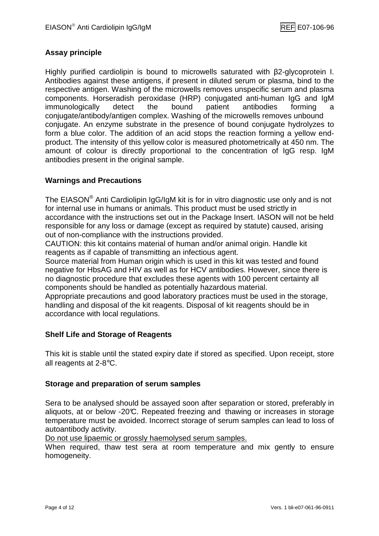#### **Assay principle**

Highly purified cardiolipin is bound to microwells saturated with β2-glycoprotein I. Antibodies against these antigens, if present in diluted serum or plasma, bind to the respective antigen. Washing of the microwells removes unspecific serum and plasma components. Horseradish peroxidase (HRP) conjugated anti-human IgG and IgM immunologically detect the bound patient antibodies forming conjugate/antibody/antigen complex. Washing of the microwells removes unbound conjugate. An enzyme substrate in the presence of bound conjugate hydrolyzes to form a blue color. The addition of an acid stops the reaction forming a yellow endproduct. The intensity of this yellow color is measured photometrically at 450 nm. The amount of colour is directly proportional to the concentration of IgG resp. IgM antibodies present in the original sample.

#### **Warnings and Precautions**

The EIASON $^{\circledR}$  Anti Cardiolipin IgG/IgM kit is for in vitro diagnostic use only and is not for internal use in humans or animals. This product must be used strictly in accordance with the instructions set out in the Package Insert. IASON will not be held responsible for any loss or damage (except as required by statute) caused, arising out of non-compliance with the instructions provided.

CAUTION: this kit contains material of human and/or animal origin. Handle kit reagents as if capable of transmitting an infectious agent.

Source material from Human origin which is used in this kit was tested and found negative for HbsAG and HIV as well as for HCV antibodies. However, since there is no diagnostic procedure that excludes these agents with 100 percent certainty all components should be handled as potentially hazardous material.

Appropriate precautions and good laboratory practices must be used in the storage, handling and disposal of the kit reagents. Disposal of kit reagents should be in accordance with local regulations.

#### **Shelf Life and Storage of Reagents**

This kit is stable until the stated expiry date if stored as specified. Upon receipt, store all reagents at 2-8°C.

#### **Storage and preparation of serum samples**

Sera to be analysed should be assayed soon after separation or stored, preferably in aliquots, at or below -20°C. Repeated freezing and thawing or increases in storage temperature must be avoided. Incorrect storage of serum samples can lead to loss of autoantibody activity.

Do not use lipaemic or grossly haemolysed serum samples.

When required, thaw test sera at room temperature and mix gently to ensure homogeneity.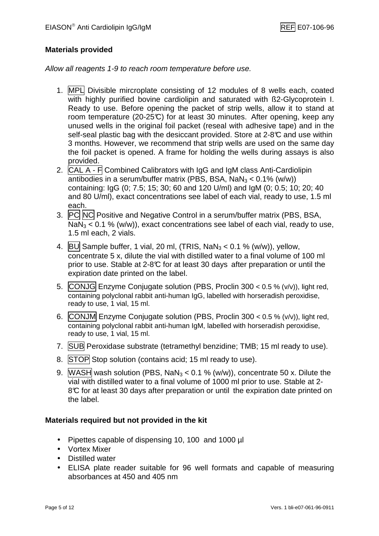#### **Materials provided**

Allow all reagents 1-9 to reach room temperature before use.

- 1. MPL Divisible mircroplate consisting of 12 modules of 8 wells each, coated with highly purified bovine cardiolipin and saturated with B2-Glycoprotein I. Ready to use. Before opening the packet of strip wells, allow it to stand at room temperature (20-25°C) for at least 30 minutes. After opening, keep any unused wells in the original foil packet (reseal with adhesive tape) and in the self-seal plastic bag with the desiccant provided. Store at 2-8°C and use within 3 months. However, we recommend that strip wells are used on the same day the foil packet is opened. A frame for holding the wells during assays is also provided.
- 2. CAL A F Combined Calibrators with IgG and IgM class Anti-Cardiolipin antibodies in a serum/buffer matrix (PBS, BSA,  $NaN<sub>3</sub> < 0.1$ % (w/w)) containing: IgG (0; 7.5; 15; 30; 60 and 120 U/ml) and IgM (0; 0.5; 10; 20; 40 and 80 U/ml), exact concentrations see label of each vial, ready to use, 1.5 ml each.
- 3. PC NC Positive and Negative Control in a serum/buffer matrix (PBS, BSA,  $NaN<sub>3</sub> < 0.1$  % (w/w)), exact concentrations see label of each vial, ready to use, 1.5 ml each, 2 vials.
- 4. BU Sample buffer, 1 vial, 20 ml, (TRIS, NaN $_3$  < 0.1 % (w/w)), yellow, concentrate 5 x, dilute the vial with distilled water to a final volume of 100 ml prior to use. Stable at 2-8°C for at least 30 days after preparation or until the expiration date printed on the label.
- 5. CONJG Enzyme Conjugate solution (PBS, Proclin  $300 < 0.5$  % (v/v)), light red, containing polyclonal rabbit anti-human IgG, labelled with horseradish peroxidise, ready to use, 1 vial, 15 ml.
- 6. CONJM Enzyme Conjugate solution (PBS, Proclin  $300 < 0.5$  % (v/v)), light red, containing polyclonal rabbit anti-human IgM, labelled with horseradish peroxidise, ready to use, 1 vial, 15 ml.
- 7. SUB Peroxidase substrate (tetramethyl benzidine; TMB; 15 ml ready to use).
- 8. STOP Stop solution (contains acid; 15 ml ready to use).
- 9. WASH wash solution (PBS, NaN<sub>3</sub> < 0.1 % (w/w)), concentrate 50 x. Dilute the vial with distilled water to a final volume of 1000 ml prior to use. Stable at 2- 8°C for at least 30 days after preparation or until the expiration date printed on the label.

#### **Materials required but not provided in the kit**

- Pipettes capable of dispensing 10, 100 and 1000 µl
- Vortex Mixer
- Distilled water
- ELISA plate reader suitable for 96 well formats and capable of measuring absorbances at 450 and 405 nm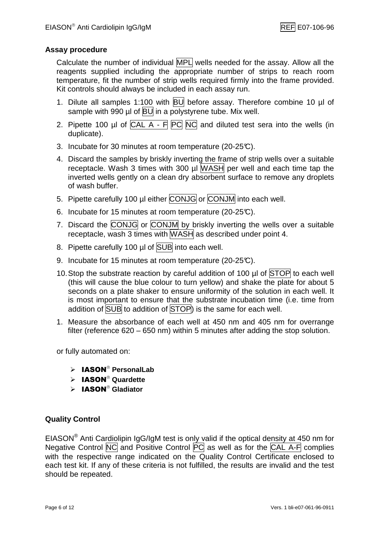#### **Assay procedure**

Calculate the number of individual MPL wells needed for the assay. Allow all the reagents supplied including the appropriate number of strips to reach room temperature, fit the number of strip wells required firmly into the frame provided. Kit controls should always be included in each assay run.

- 1. Dilute all samples 1:100 with BU before assay. Therefore combine 10 µl of sample with 990  $\mu$ l of  $\overline{BU}$  in a polystyrene tube. Mix well.
- 2. Pipette 100 µl of  $\overline{CAL A F}$   $\overline{PC}$   $\overline{NC}$  and diluted test sera into the wells (in duplicate).
- 3. Incubate for 30 minutes at room temperature (20-25°C).
- 4. Discard the samples by briskly inverting the frame of strip wells over a suitable receptacle. Wash 3 times with 300 µl WASH per well and each time tap the inverted wells gently on a clean dry absorbent surface to remove any droplets of wash buffer.
- 5. Pipette carefully 100 µl either CONJG or CONJM into each well.
- 6. Incubate for 15 minutes at room temperature (20-25°C).
- 7. Discard the CONJG or CONJM by briskly inverting the wells over a suitable receptacle, wash 3 times with WASH as described under point 4.
- 8. Pipette carefully 100 µl of SUB into each well.
- 9. Incubate for 15 minutes at room temperature (20-25°C).
- 10. Stop the substrate reaction by careful addition of 100  $\mu$  of STOP to each well (this will cause the blue colour to turn yellow) and shake the plate for about 5 seconds on a plate shaker to ensure uniformity of the solution in each well. It is most important to ensure that the substrate incubation time (i.e. time from addition of SUB to addition of STOP) is the same for each well.
- 1. Measure the absorbance of each well at 450 nm and 405 nm for overrange filter (reference 620 – 650 nm) within 5 minutes after adding the stop solution.

or fully automated on:

- $\triangleright$  **IASON**<sup>®</sup> PersonalLab
- $\triangleright$  **IASON**<sup>®</sup> Quardette
- > **IASON<sup>®</sup> Gladiator**

#### **Quality Control**

EIASON $^{\circledR}$  Anti Cardiolipin IgG/IgM test is only valid if the optical density at 450 nm for Negative Control  $\overline{NC}$  and Positive Control  $\overline{PC}$  as well as for the  $\overline{CAL}$  A-F complies with the respective range indicated on the Quality Control Certificate enclosed to each test kit. If any of these criteria is not fulfilled, the results are invalid and the test should be repeated.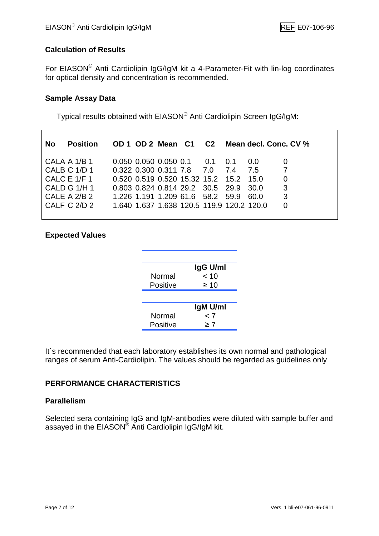#### **Calculation of Results**

For EIASON® Anti Cardiolipin IgG/IgM kit a 4-Parameter-Fit with lin-log coordinates for optical density and concentration is recommended.

#### **Sample Assay Data**

 $\overline{\Gamma}$ 

Typical results obtained with EIASON® Anti Cardiolipin Screen IgG/IgM:

|  |  | 0.0                                                                                    | $\Omega$                                                                                                                                                                                                                   |
|--|--|----------------------------------------------------------------------------------------|----------------------------------------------------------------------------------------------------------------------------------------------------------------------------------------------------------------------------|
|  |  |                                                                                        | $\overline{7}$                                                                                                                                                                                                             |
|  |  |                                                                                        | $\Omega$                                                                                                                                                                                                                   |
|  |  |                                                                                        | -3                                                                                                                                                                                                                         |
|  |  |                                                                                        | 3                                                                                                                                                                                                                          |
|  |  |                                                                                        | 0                                                                                                                                                                                                                          |
|  |  | $0.050$ $0.050$ $0.050$ $0.1$ $0.1$ $0.1$<br>$0.322$ $0.300$ $0.311$ $7.8$ $7.0$ $7.4$ | OD 1 OD 2 Mean C1 C2 Mean decl. Conc. CV %<br>7.5<br>0.520 0.519 0.520 15.32 15.2 15.2 15.0<br>0.803 0.824 0.814 29.2 30.5 29.9 30.0<br>1.226 1.191 1.209 61.6 58.2 59.9 60.0<br>1.640 1.637 1.638 120.5 119.9 120.2 120.0 |

#### **Expected Values**

|          | IgG U/ml |
|----------|----------|
| Normal   | < 10     |
| Positive | ≥ 10     |
|          |          |
|          | IgM U/ml |
| Normal   | 7 >      |
| Positive | ≥ 7      |

It´s recommended that each laboratory establishes its own normal and pathological ranges of serum Anti-Cardiolipin. The values should be regarded as guidelines only

#### **PERFORMANCE CHARACTERISTICS**

#### **Parallelism**

Selected sera containing IgG and IgM-antibodies were diluted with sample buffer and assayed in the EIASON® Anti Cardiolipin IgG/IgM kit.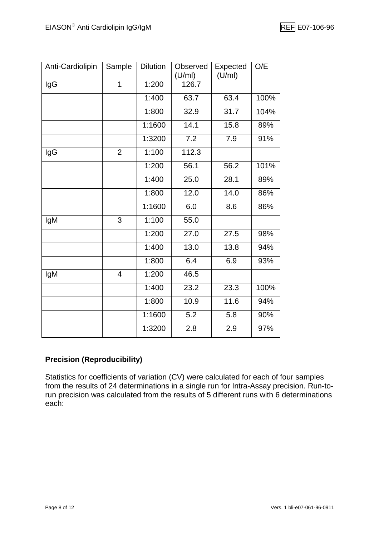| Anti-Cardiolipin | Sample         | <b>Dilution</b> | Observed<br>(U/ml) | Expected<br>(U/ml) | O/E  |
|------------------|----------------|-----------------|--------------------|--------------------|------|
| lgG              | 1              | 1:200           | 126.7              |                    |      |
|                  |                | 1:400           | 63.7               | 63.4               | 100% |
|                  |                | 1:800           | 32.9               | 31.7               | 104% |
|                  |                | 1:1600          | 14.1               | 15.8               | 89%  |
|                  |                | 1:3200          | 7.2                | 7.9                | 91%  |
| IgG              | $\overline{2}$ | 1:100           | 112.3              |                    |      |
|                  |                | 1:200           | 56.1               | 56.2               | 101% |
|                  |                | 1:400           | 25.0               | 28.1               | 89%  |
|                  |                | 1:800           | 12.0               | 14.0               | 86%  |
|                  |                | 1:1600          | 6.0                | 8.6                | 86%  |
| IgM              | 3              | 1:100           | 55.0               |                    |      |
|                  |                | 1:200           | 27.0               | 27.5               | 98%  |
|                  |                | 1:400           | 13.0               | 13.8               | 94%  |
|                  |                | 1:800           | 6.4                | 6.9                | 93%  |
| IgM              | $\overline{4}$ | 1:200           | 46.5               |                    |      |
|                  |                | 1:400           | 23.2               | 23.3               | 100% |
|                  |                | 1:800           | 10.9               | 11.6               | 94%  |
|                  |                | 1:1600          | 5.2                | 5.8                | 90%  |
|                  |                | 1:3200          | 2.8                | 2.9                | 97%  |

#### **Precision (Reproducibility)**

Statistics for coefficients of variation (CV) were calculated for each of four samples from the results of 24 determinations in a single run for Intra-Assay precision. Run-torun precision was calculated from the results of 5 different runs with 6 determinations each: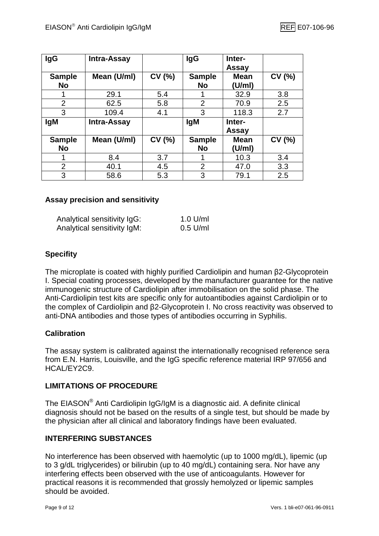| <b>IgG</b>                 | Intra-Assay        |       | <b>IgG</b>                 | Inter-<br>Assay       |       |
|----------------------------|--------------------|-------|----------------------------|-----------------------|-------|
| <b>Sample</b><br><b>No</b> | Mean (U/ml)        | CV(%) | <b>Sample</b><br><b>No</b> | <b>Mean</b><br>(U/ml) | CV(%) |
| 1                          | 29.1               | 5.4   | 1                          | 32.9                  | 3.8   |
| $\overline{2}$             | 62.5               | 5.8   | $\overline{2}$             | 70.9                  | 2.5   |
| 3                          | 109.4              | 4.1   | 3                          | 118.3                 | 2.7   |
| <b>IgM</b>                 | <b>Intra-Assay</b> |       | <b>IgM</b>                 | Inter-                |       |
|                            |                    |       |                            | <b>Assay</b>          |       |
| <b>Sample</b>              |                    |       |                            |                       |       |
|                            | Mean (U/ml)        | CV(%) | <b>Sample</b>              | <b>Mean</b>           | CV(%) |
| <b>No</b>                  |                    |       | <b>No</b>                  | (U/ml)                |       |
|                            | 8.4                | 3.7   |                            | 10.3                  | 3.4   |
| $\overline{2}$             | 40.1               | 4.5   | $\overline{2}$             | 47.0                  | 3.3   |

#### **Assay precision and sensitivity**

| Analytical sensitivity IgG: | $1.0$ U/ml |
|-----------------------------|------------|
| Analytical sensitivity IgM: | $0.5$ U/ml |

#### **Specifity**

The microplate is coated with highly purified Cardiolipin and human β2-Glycoprotein I. Special coating processes, developed by the manufacturer guarantee for the native immunogenic structure of Cardiolipin after immobilisation on the solid phase. The Anti-Cardiolipin test kits are specific only for autoantibodies against Cardiolipin or to the complex of Cardiolipin and β2-Glycoprotein I. No cross reactivity was observed to anti-DNA antibodies and those types of antibodies occurring in Syphilis.

#### **Calibration**

The assay system is calibrated against the internationally recognised reference sera from E.N. Harris, Louisville, and the IgG specific reference material IRP 97/656 and HCAL/EY2C9.

#### **LIMITATIONS OF PROCEDURE**

The EIASON® Anti Cardiolipin IgG/IgM is a diagnostic aid. A definite clinical diagnosis should not be based on the results of a single test, but should be made by the physician after all clinical and laboratory findings have been evaluated.

#### **INTERFERING SUBSTANCES**

No interference has been observed with haemolytic (up to 1000 mg/dL), lipemic (up to 3 g/dL triglycerides) or bilirubin (up to 40 mg/dL) containing sera. Nor have any interfering effects been observed with the use of anticoagulants. However for practical reasons it is recommended that grossly hemolyzed or lipemic samples should be avoided.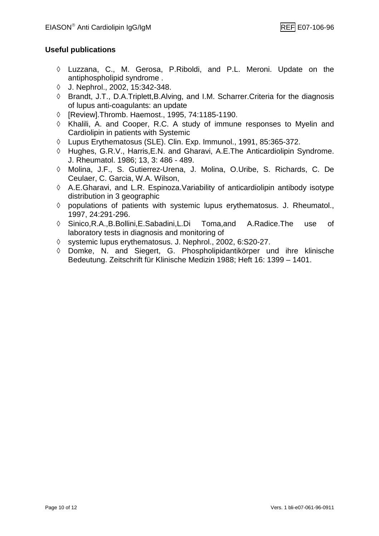#### **Useful publications**

- ◊ Luzzana, C., M. Gerosa, P.Riboldi, and P.L. Meroni. Update on the antiphospholipid syndrome .
- ◊ J. Nephrol., 2002, 15:342-348.
- ◊ Brandt, J.T., D.A.Triplett,B.Alving, and I.M. Scharrer.Criteria for the diagnosis of lupus anti-coagulants: an update
- ◊ [Review].Thromb. Haemost., 1995, 74:1185-1190.
- ◊ Khalili, A. and Cooper, R.C. A study of immune responses to Myelin and Cardiolipin in patients with Systemic
- ◊ Lupus Erythematosus (SLE). Clin. Exp. Immunol., 1991, 85:365-372.
- ◊ Hughes, G.R.V., Harris,E.N. and Gharavi, A.E.The Anticardiolipin Syndrome. J. Rheumatol. 1986; 13, 3: 486 - 489.
- ◊ Molina, J.F., S. Gutierrez-Urena, J. Molina, O.Uribe, S. Richards, C. De Ceulaer, C. Garcia, W.A. Wilson,
- ◊ A.E.Gharavi, and L.R. Espinoza.Variability of anticardiolipin antibody isotype distribution in 3 geographic
- ◊ populations of patients with systemic lupus erythematosus. J. Rheumatol., 1997, 24:291-296.
- ◊ Sinico,R.A.,B.Bollini,E.Sabadini,L.Di Toma,and A.Radice.The use of laboratory tests in diagnosis and monitoring of
- ◊ systemic lupus erythematosus. J. Nephrol., 2002, 6:S20-27.
- ◊ Domke, N. and Siegert, G. Phospholipidantikörper und ihre klinische Bedeutung. Zeitschrift für Klinische Medizin 1988; Heft 16: 1399 – 1401.